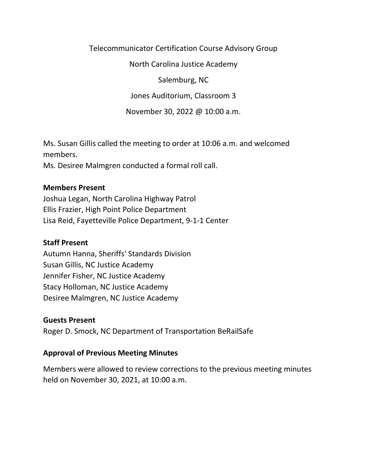Telecommunicator Certification Course Advisory Group

North Carolina Justice Academy

Salemburg, NC

Jones Auditorium, Classroom 3

November 30, 2022 @ 10:00 a.m.

Ms. Susan Gillis called the meeting to order at 10:06 a.m. and welcomed members.

Ms. Desiree Malmgren conducted a formal roll call.

### **Members Present**

Joshua Legan, North Carolina Highway Patrol Ellis Frazier, High Point Police Department Lisa Reid, Fayetteville Police Department, 9-1-1 Center

# **Staff Present**

Autumn Hanna, Sheriffs' Standards Division Susan Gillis, NC Justice Academy Jennifer Fisher, NC Justice Academy Stacy Holloman, NC Justice Academy Desiree Malmgren, NC Justice Academy

# **Guests Present**

Roger D. Smock, NC Department of Transportation BeRailSafe

# **Approval of Previous Meeting Minutes**

Members were allowed to review corrections to the previous meeting minutes held on November 30, 2021, at 10:00 a.m.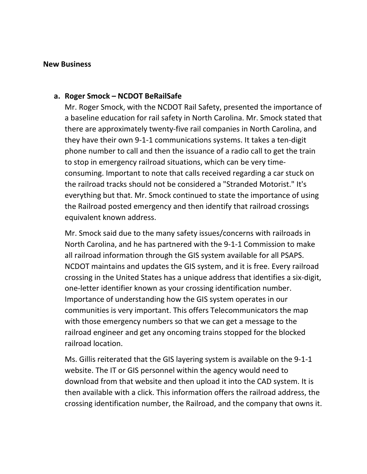#### **New Business**

### **a. Roger Smock – NCDOT BeRailSafe**

Mr. Roger Smock, with the NCDOT Rail Safety, presented the importance of a baseline education for rail safety in North Carolina. Mr. Smock stated that there are approximately twenty-five rail companies in North Carolina, and they have their own 9-1-1 communications systems. It takes a ten-digit phone number to call and then the issuance of a radio call to get the train to stop in emergency railroad situations, which can be very timeconsuming. Important to note that calls received regarding a car stuck on the railroad tracks should not be considered a "Stranded Motorist." It's everything but that. Mr. Smock continued to state the importance of using the Railroad posted emergency and then identify that railroad crossings equivalent known address.

Mr. Smock said due to the many safety issues/concerns with railroads in North Carolina, and he has partnered with the 9-1-1 Commission to make all railroad information through the GIS system available for all PSAPS. NCDOT maintains and updates the GIS system, and it is free. Every railroad crossing in the United States has a unique address that identifies a six-digit, one-letter identifier known as your crossing identification number. Importance of understanding how the GIS system operates in our communities is very important. This offers Telecommunicators the map with those emergency numbers so that we can get a message to the railroad engineer and get any oncoming trains stopped for the blocked railroad location.

Ms. Gillis reiterated that the GIS layering system is available on the 9-1-1 website. The IT or GIS personnel within the agency would need to download from that website and then upload it into the CAD system. It is then available with a click. This information offers the railroad address, the crossing identification number, the Railroad, and the company that owns it.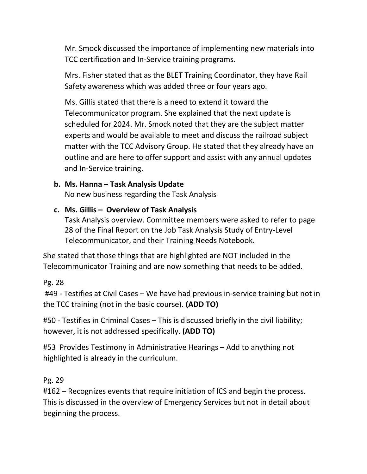Mr. Smock discussed the importance of implementing new materials into TCC certification and In-Service training programs.

Mrs. Fisher stated that as the BLET Training Coordinator, they have Rail Safety awareness which was added three or four years ago.

Ms. Gillis stated that there is a need to extend it toward the Telecommunicator program. She explained that the next update is scheduled for 2024. Mr. Smock noted that they are the subject matter experts and would be available to meet and discuss the railroad subject matter with the TCC Advisory Group. He stated that they already have an outline and are here to offer support and assist with any annual updates and In-Service training.

# **b. Ms. Hanna – Task Analysis Update**

No new business regarding the Task Analysis

### **c. Ms. Gillis – Overview of Task Analysis**

Task Analysis overview. Committee members were asked to refer to page 28 of the Final Report on the Job Task Analysis Study of Entry-Level Telecommunicator, and their Training Needs Notebook.

She stated that those things that are highlighted are NOT included in the Telecommunicator Training and are now something that needs to be added.

Pg. 28

#49 - Testifies at Civil Cases – We have had previous in-service training but not in the TCC training (not in the basic course). **(ADD TO)**

#50 - Testifies in Criminal Cases – This is discussed briefly in the civil liability; however, it is not addressed specifically. **(ADD TO)**

#53 Provides Testimony in Administrative Hearings – Add to anything not highlighted is already in the curriculum.

Pg. 29

#162 – Recognizes events that require initiation of ICS and begin the process. This is discussed in the overview of Emergency Services but not in detail about beginning the process.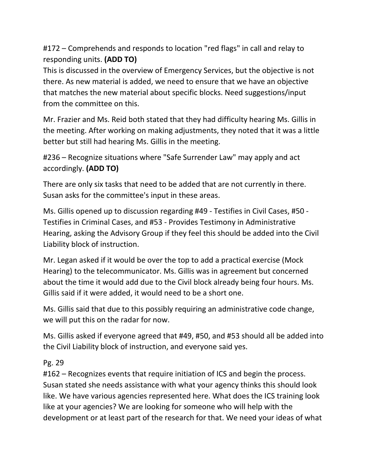#172 – Comprehends and responds to location "red flags" in call and relay to responding units. **(ADD TO)**

This is discussed in the overview of Emergency Services, but the objective is not there. As new material is added, we need to ensure that we have an objective that matches the new material about specific blocks. Need suggestions/input from the committee on this.

Mr. Frazier and Ms. Reid both stated that they had difficulty hearing Ms. Gillis in the meeting. After working on making adjustments, they noted that it was a little better but still had hearing Ms. Gillis in the meeting.

#236 – Recognize situations where "Safe Surrender Law" may apply and act accordingly. **(ADD TO)**

There are only six tasks that need to be added that are not currently in there. Susan asks for the committee's input in these areas.

Ms. Gillis opened up to discussion regarding #49 - Testifies in Civil Cases, #50 - Testifies in Criminal Cases, and #53 - Provides Testimony in Administrative Hearing, asking the Advisory Group if they feel this should be added into the Civil Liability block of instruction.

Mr. Legan asked if it would be over the top to add a practical exercise (Mock Hearing) to the telecommunicator. Ms. Gillis was in agreement but concerned about the time it would add due to the Civil block already being four hours. Ms. Gillis said if it were added, it would need to be a short one.

Ms. Gillis said that due to this possibly requiring an administrative code change, we will put this on the radar for now.

Ms. Gillis asked if everyone agreed that #49, #50, and #53 should all be added into the Civil Liability block of instruction, and everyone said yes.

Pg. 29

#162 – Recognizes events that require initiation of ICS and begin the process. Susan stated she needs assistance with what your agency thinks this should look like. We have various agencies represented here. What does the ICS training look like at your agencies? We are looking for someone who will help with the development or at least part of the research for that. We need your ideas of what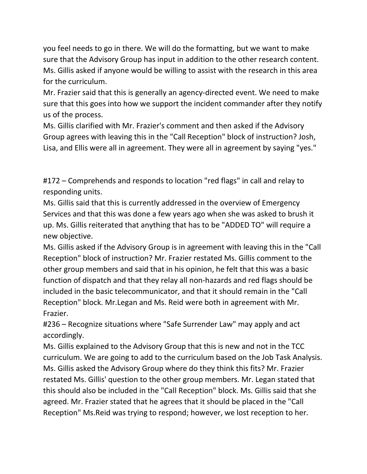you feel needs to go in there. We will do the formatting, but we want to make sure that the Advisory Group has input in addition to the other research content. Ms. Gillis asked if anyone would be willing to assist with the research in this area for the curriculum.

Mr. Frazier said that this is generally an agency-directed event. We need to make sure that this goes into how we support the incident commander after they notify us of the process.

Ms. Gillis clarified with Mr. Frazier's comment and then asked if the Advisory Group agrees with leaving this in the "Call Reception" block of instruction? Josh, Lisa, and Ellis were all in agreement. They were all in agreement by saying "yes."

#172 – Comprehends and responds to location "red flags" in call and relay to responding units.

Ms. Gillis said that this is currently addressed in the overview of Emergency Services and that this was done a few years ago when she was asked to brush it up. Ms. Gillis reiterated that anything that has to be "ADDED TO" will require a new objective.

Ms. Gillis asked if the Advisory Group is in agreement with leaving this in the "Call Reception" block of instruction? Mr. Frazier restated Ms. Gillis comment to the other group members and said that in his opinion, he felt that this was a basic function of dispatch and that they relay all non-hazards and red flags should be included in the basic telecommunicator, and that it should remain in the "Call Reception" block. Mr.Legan and Ms. Reid were both in agreement with Mr. Frazier.

#236 – Recognize situations where "Safe Surrender Law" may apply and act accordingly.

Ms. Gillis explained to the Advisory Group that this is new and not in the TCC curriculum. We are going to add to the curriculum based on the Job Task Analysis. Ms. Gillis asked the Advisory Group where do they think this fits? Mr. Frazier restated Ms. Gillis' question to the other group members. Mr. Legan stated that this should also be included in the "Call Reception" block. Ms. Gillis said that she agreed. Mr. Frazier stated that he agrees that it should be placed in the "Call Reception" Ms.Reid was trying to respond; however, we lost reception to her.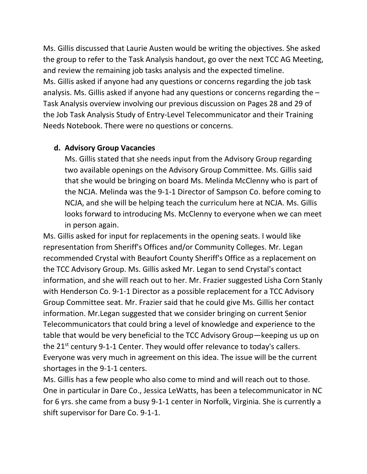Ms. Gillis discussed that Laurie Austen would be writing the objectives. She asked the group to refer to the Task Analysis handout, go over the next TCC AG Meeting, and review the remaining job tasks analysis and the expected timeline. Ms. Gillis asked if anyone had any questions or concerns regarding the job task analysis. Ms. Gillis asked if anyone had any questions or concerns regarding the – Task Analysis overview involving our previous discussion on Pages 28 and 29 of the Job Task Analysis Study of Entry-Level Telecommunicator and their Training Needs Notebook. There were no questions or concerns.

### **d. Advisory Group Vacancies**

Ms. Gillis stated that she needs input from the Advisory Group regarding two available openings on the Advisory Group Committee. Ms. Gillis said that she would be bringing on board Ms. Melinda McClenny who is part of the NCJA. Melinda was the 9-1-1 Director of Sampson Co. before coming to NCJA, and she will be helping teach the curriculum here at NCJA. Ms. Gillis looks forward to introducing Ms. McClenny to everyone when we can meet in person again.

Ms. Gillis asked for input for replacements in the opening seats. I would like representation from Sheriff's Offices and/or Community Colleges. Mr. Legan recommended Crystal with Beaufort County Sheriff's Office as a replacement on the TCC Advisory Group. Ms. Gillis asked Mr. Legan to send Crystal's contact information, and she will reach out to her. Mr. Frazier suggested Lisha Corn Stanly with Henderson Co. 9-1-1 Director as a possible replacement for a TCC Advisory Group Committee seat. Mr. Frazier said that he could give Ms. Gillis her contact information. Mr.Legan suggested that we consider bringing on current Senior Telecommunicators that could bring a level of knowledge and experience to the table that would be very beneficial to the TCC Advisory Group—keeping us up on the 21<sup>st</sup> century 9-1-1 Center. They would offer relevance to today's callers. Everyone was very much in agreement on this idea. The issue will be the current shortages in the 9-1-1 centers.

Ms. Gillis has a few people who also come to mind and will reach out to those. One in particular in Dare Co., Jessica LeWatts, has been a telecommunicator in NC for 6 yrs. she came from a busy 9-1-1 center in Norfolk, Virginia. She is currently a shift supervisor for Dare Co. 9-1-1.